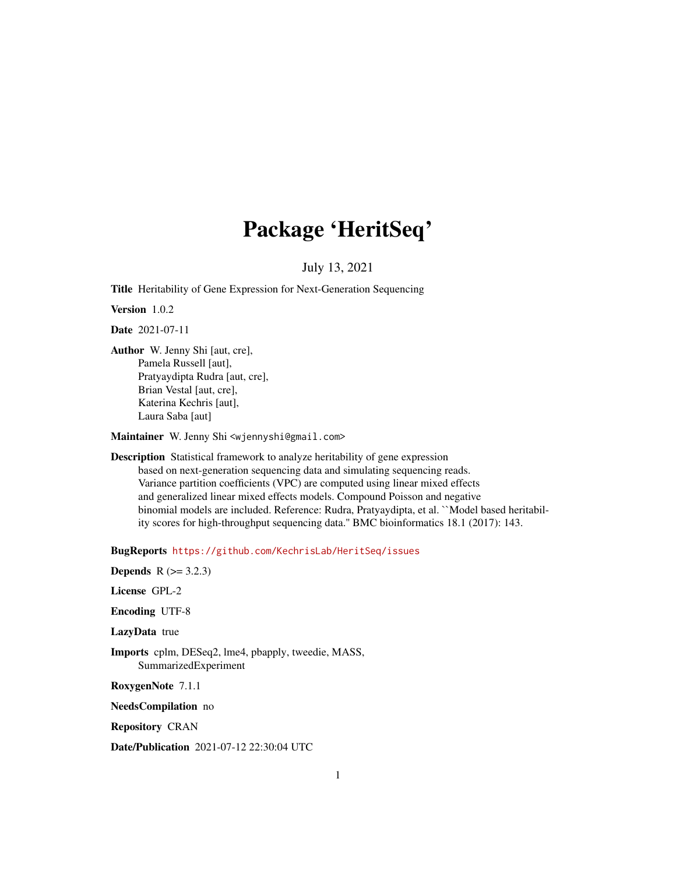## Package 'HeritSeq'

## July 13, 2021

Title Heritability of Gene Expression for Next-Generation Sequencing

Version 1.0.2

Date 2021-07-11

Author W. Jenny Shi [aut, cre], Pamela Russell [aut], Pratyaydipta Rudra [aut, cre], Brian Vestal [aut, cre], Katerina Kechris [aut], Laura Saba [aut]

Maintainer W. Jenny Shi <wjennyshi@gmail.com>

Description Statistical framework to analyze heritability of gene expression based on next-generation sequencing data and simulating sequencing reads. Variance partition coefficients (VPC) are computed using linear mixed effects and generalized linear mixed effects models. Compound Poisson and negative binomial models are included. Reference: Rudra, Pratyaydipta, et al. ``Model based heritability scores for high-throughput sequencing data.'' BMC bioinformatics 18.1 (2017): 143.

BugReports <https://github.com/KechrisLab/HeritSeq/issues>

**Depends** R  $(>= 3.2.3)$ 

License GPL-2

Encoding UTF-8

LazyData true

Imports cplm, DESeq2, lme4, pbapply, tweedie, MASS, SummarizedExperiment

RoxygenNote 7.1.1

NeedsCompilation no

Repository CRAN

Date/Publication 2021-07-12 22:30:04 UTC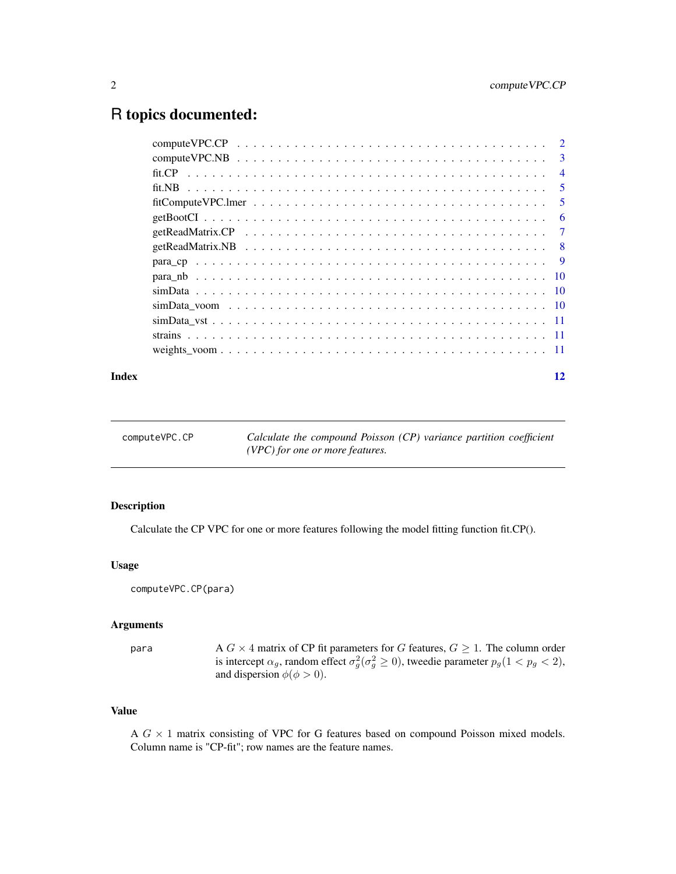## <span id="page-1-0"></span>R topics documented:

| $\overline{3}$ |
|----------------|
| $\overline{4}$ |
| 5              |
| 5              |
| 6              |
| 7              |
| - 8            |
|                |
|                |
|                |
|                |
|                |
|                |
|                |
|                |

#### **Index** [12](#page-11-0)

computeVPC.CP *Calculate the compound Poisson (CP) variance partition coefficient (VPC) for one or more features.*

#### Description

Calculate the CP VPC for one or more features following the model fitting function fit.CP().

## Usage

computeVPC.CP(para)

## Arguments

para A G  $\times$  4 matrix of CP fit parameters for G features,  $G \geq 1$ . The column order is intercept  $\alpha_g$ , random effect  $\sigma_g^2(\sigma_g^2 \ge 0)$ , tweedie parameter  $p_g(1 < p_g < 2)$ , and dispersion  $\phi(\phi > 0)$ .

## Value

A  $G \times 1$  matrix consisting of VPC for G features based on compound Poisson mixed models. Column name is "CP-fit"; row names are the feature names.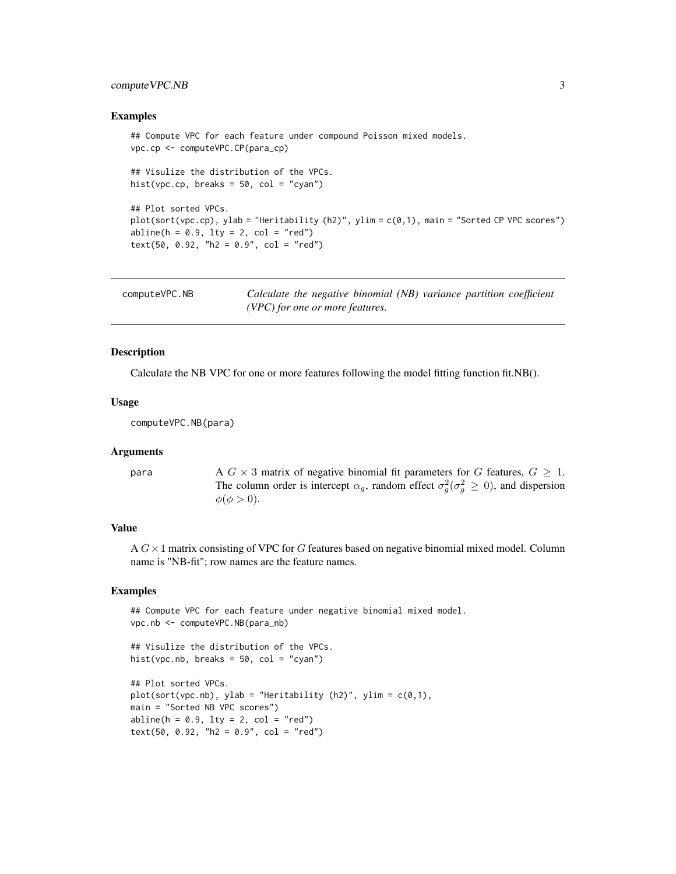## <span id="page-2-0"></span>compute VPC.NB 3

#### Examples

```
## Compute VPC for each feature under compound Poisson mixed models.
vpc.cp <- computeVPC.CP(para_cp)
## Visulize the distribution of the VPCs.
hist(vpc.cp, breaks = 50, col = "cyan")
## Plot sorted VPCs.
plot(sort(vpc.cp), ylab = "Heritability (h2)", ylim = c(0,1), main = "Sorted CP VPC scores")
abline(h = 0.9, 1ty = 2, col = "red")text(50, 0.92, "h2 = 0.9", col = "red")
```

| computeVPC.NB | Calculate the negative binomial (NB) variance partition coefficient |  |
|---------------|---------------------------------------------------------------------|--|
|               | (VPC) for one or more features.                                     |  |

#### Description

Calculate the NB VPC for one or more features following the model fitting function fit.NB().

#### Usage

computeVPC.NB(para)

#### Arguments

para  $A G \times 3$  matrix of negative binomial fit parameters for G features,  $G \geq 1$ . The column order is intercept  $\alpha_g$ , random effect  $\sigma_g^2(\sigma_g^2 \ge 0)$ , and dispersion  $\phi(\phi > 0)$ .

## Value

A  $G \times 1$  matrix consisting of VPC for G features based on negative binomial mixed model. Column name is "NB-fit"; row names are the feature names.

#### Examples

```
## Compute VPC for each feature under negative binomial mixed model.
vpc.nb <- computeVPC.NB(para_nb)
```

```
## Visulize the distribution of the VPCs.
hist(vpc.nb, breaks = 50, col = "cyan")
```

```
## Plot sorted VPCs.
plot(sort(vpc.nb), ylab = "Heritability (h2)", ylim = c(0,1),main = "Sorted NB VPC scores")
abline(h = 0.9, 1ty = 2, col = "red")text(50, 0.92, "h2 = 0.9", col = "red")
```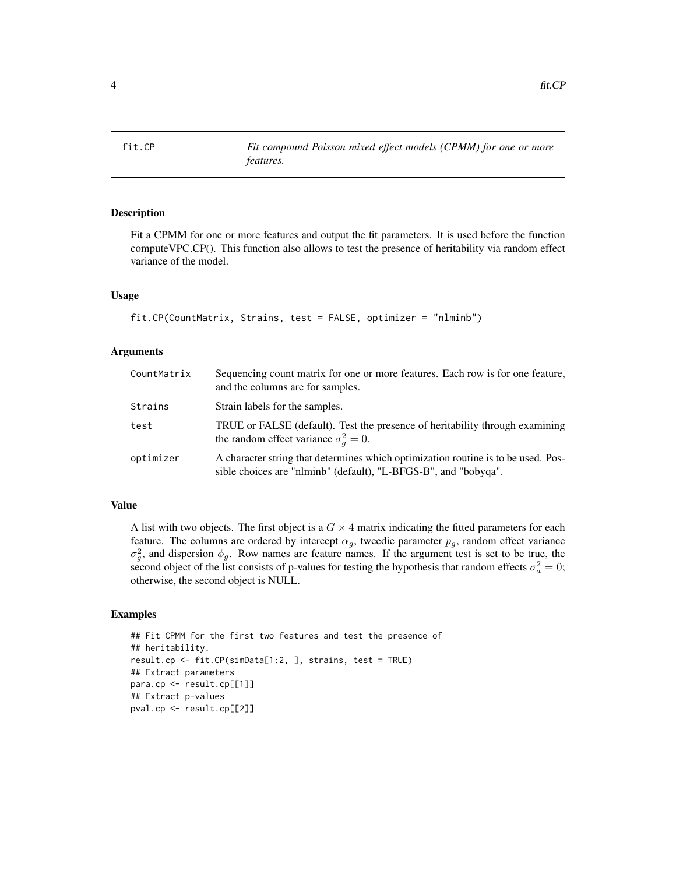<span id="page-3-0"></span>

Fit a CPMM for one or more features and output the fit parameters. It is used before the function computeVPC.CP(). This function also allows to test the presence of heritability via random effect variance of the model.

#### Usage

```
fit.CP(CountMatrix, Strains, test = FALSE, optimizer = "nlminb")
```
#### Arguments

| CountMatrix | Sequencing count matrix for one or more features. Each row is for one feature,<br>and the columns are for samples.                                   |
|-------------|------------------------------------------------------------------------------------------------------------------------------------------------------|
| Strains     | Strain labels for the samples.                                                                                                                       |
| test        | TRUE or FALSE (default). Test the presence of heritability through examining<br>the random effect variance $\sigma_a^2 = 0$ .                        |
| optimizer   | A character string that determines which optimization routine is to be used. Pos-<br>sible choices are "nlminb" (default), "L-BFGS-B", and "bobyqa". |

#### Value

A list with two objects. The first object is a  $G \times 4$  matrix indicating the fitted parameters for each feature. The columns are ordered by intercept  $\alpha_g$ , tweedie parameter  $p_g$ , random effect variance  $\sigma_g^2$ , and dispersion  $\phi_g$ . Row names are feature names. If the argument test is set to be true, the second object of the list consists of p-values for testing the hypothesis that random effects  $\sigma_a^2 = 0$ ; otherwise, the second object is NULL.

#### Examples

```
## Fit CPMM for the first two features and test the presence of
## heritability.
result.cp <- fit.CP(simData[1:2, ], strains, test = TRUE)
## Extract parameters
para.cp <- result.cp[[1]]
## Extract p-values
pval.cp <- result.cp[[2]]
```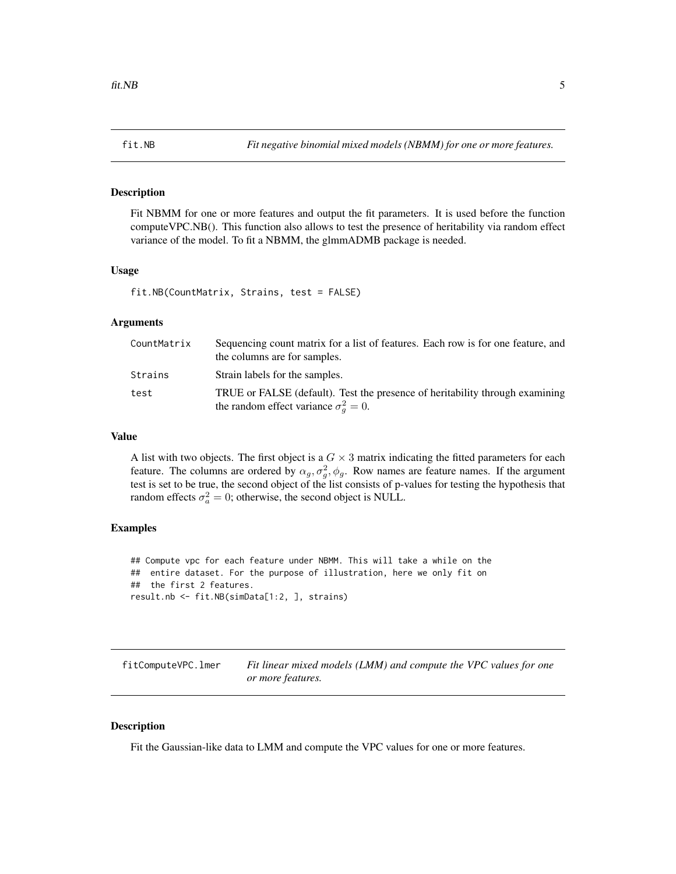<span id="page-4-0"></span>

Fit NBMM for one or more features and output the fit parameters. It is used before the function computeVPC.NB(). This function also allows to test the presence of heritability via random effect variance of the model. To fit a NBMM, the glmmADMB package is needed.

#### Usage

fit.NB(CountMatrix, Strains, test = FALSE)

#### Arguments

| CountMatrix | Sequencing count matrix for a list of features. Each row is for one feature, and<br>the columns are for samples.              |
|-------------|-------------------------------------------------------------------------------------------------------------------------------|
| Strains     | Strain labels for the samples.                                                                                                |
| test        | TRUE or FALSE (default). Test the presence of heritability through examining<br>the random effect variance $\sigma_a^2 = 0$ . |

#### Value

A list with two objects. The first object is a  $G \times 3$  matrix indicating the fitted parameters for each feature. The columns are ordered by  $\alpha_g$ ,  $\sigma_g^2$ ,  $\phi_g$ . Row names are feature names. If the argument test is set to be true, the second object of the list consists of p-values for testing the hypothesis that random effects  $\sigma_a^2 = 0$ ; otherwise, the second object is NULL.

## Examples

```
## Compute vpc for each feature under NBMM. This will take a while on the
## entire dataset. For the purpose of illustration, here we only fit on
## the first 2 features.
result.nb <- fit.NB(simData[1:2, ], strains)
```

| fitComputeVPC.lmer | Fit linear mixed models (LMM) and compute the VPC values for one |
|--------------------|------------------------------------------------------------------|
|                    | or more features.                                                |

## Description

Fit the Gaussian-like data to LMM and compute the VPC values for one or more features.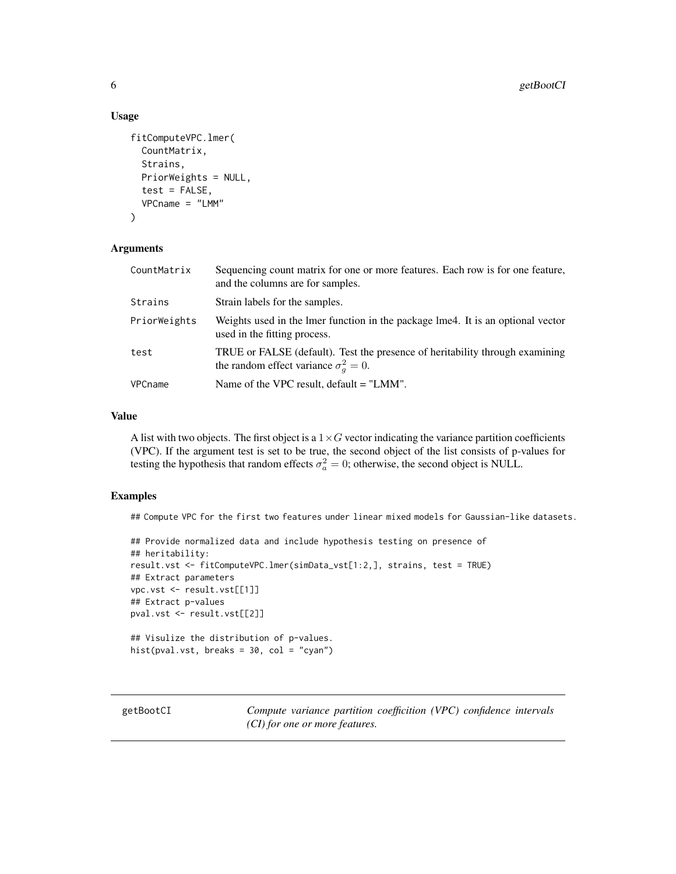#### Usage

```
fitComputeVPC.lmer(
  CountMatrix,
  Strains,
 PriorWeights = NULL,
  test = FALSE,
  VPCname = "LMM"
)
```
## Arguments

| CountMatrix  | Sequencing count matrix for one or more features. Each row is for one feature,<br>and the columns are for samples.            |
|--------------|-------------------------------------------------------------------------------------------------------------------------------|
| Strains      | Strain labels for the samples.                                                                                                |
| PriorWeights | Weights used in the lmer function in the package lme4. It is an optional vector<br>used in the fitting process.               |
| test         | TRUE or FALSE (default). Test the presence of heritability through examining<br>the random effect variance $\sigma_a^2 = 0$ . |
| VPCname      | Name of the VPC result, $default = "LMM".$                                                                                    |

#### Value

A list with two objects. The first object is a  $1 \times G$  vector indicating the variance partition coefficients (VPC). If the argument test is set to be true, the second object of the list consists of p-values for testing the hypothesis that random effects  $\sigma_a^2 = 0$ ; otherwise, the second object is NULL.

#### Examples

## Compute VPC for the first two features under linear mixed models for Gaussian-like datasets.

```
## Provide normalized data and include hypothesis testing on presence of
## heritability:
result.vst <- fitComputeVPC.lmer(simData_vst[1:2,], strains, test = TRUE)
## Extract parameters
vpc.vst <- result.vst[[1]]
## Extract p-values
pval.vst <- result.vst[[2]]
## Visulize the distribution of p-values.
hist(pval.vst, breaks = 30, col = "cyan")
```
getBootCI *Compute variance partition coefficition (VPC) confidence intervals (CI) for one or more features.*

<span id="page-5-0"></span>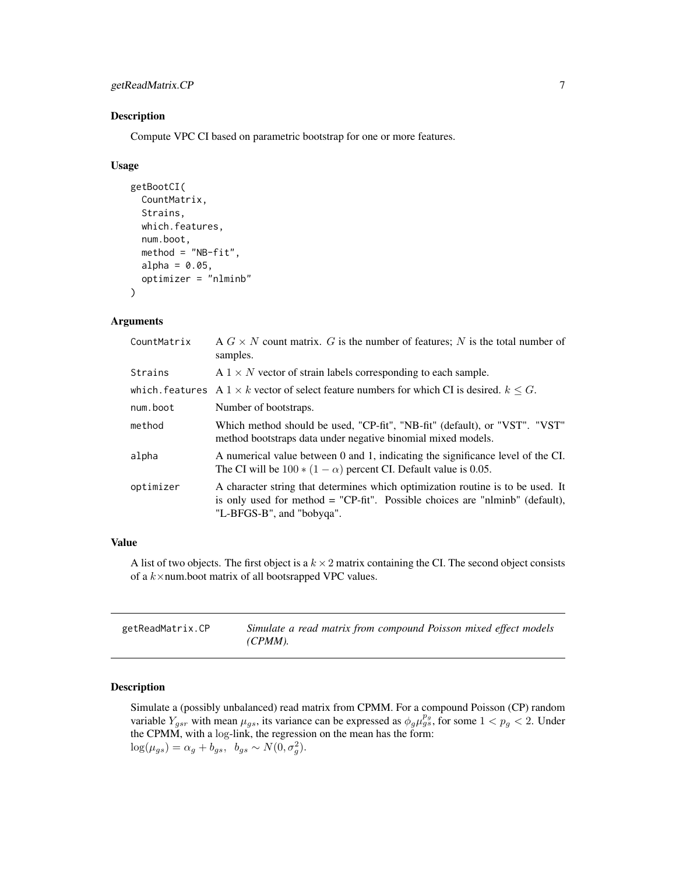## <span id="page-6-0"></span>getReadMatrix.CP 7

#### Description

Compute VPC CI based on parametric bootstrap for one or more features.

#### Usage

```
getBootCI(
  CountMatrix,
  Strains,
  which.features,
  num.boot,
  method = "NB-fit",alpha = 0.05,
  optimizer = "nlminb"
)
```
## Arguments

| CountMatrix | A $G \times N$ count matrix. G is the number of features; N is the total number of<br>samples.                                                                                               |
|-------------|----------------------------------------------------------------------------------------------------------------------------------------------------------------------------------------------|
| Strains     | $A \, 1 \times N$ vector of strain labels corresponding to each sample.                                                                                                                      |
|             | which, features A $1 \times k$ vector of select feature numbers for which CI is desired, $k \leq G$ .                                                                                        |
| num.boot    | Number of bootstraps.                                                                                                                                                                        |
| method      | Which method should be used, "CP-fit", "NB-fit" (default), or "VST". "VST"<br>method bootstraps data under negative binomial mixed models.                                                   |
| alpha       | A numerical value between 0 and 1, indicating the significance level of the CI.<br>The CI will be $100 * (1 - \alpha)$ percent CI. Default value is 0.05.                                    |
| optimizer   | A character string that determines which optimization routine is to be used. It<br>is only used for method = "CP-fit". Possible choices are "nlminb" (default),<br>"L-BFGS-B", and "bobyqa". |

## Value

A list of two objects. The first object is a  $k \times 2$  matrix containing the CI. The second object consists of a  $k \times$ num.boot matrix of all bootsrapped VPC values.

| getReadMatrix.CP | Simulate a read matrix from compound Poisson mixed effect models |
|------------------|------------------------------------------------------------------|
|                  | $(CPMM)$ .                                                       |

## Description

Simulate a (possibly unbalanced) read matrix from CPMM. For a compound Poisson (CP) random variable  $Y_{gsr}$  with mean  $\mu_{gs}$ , its variance can be expressed as  $\phi_g \mu_{gs}^{p_g}$ , for some  $1 < p_g < 2$ . Under the CPMM, with a log-link, the regression on the mean has the form:  $log(\mu_{gs}) = \alpha_g + b_{gs}, \ \ b_{gs} \sim N(0, \sigma_g^2).$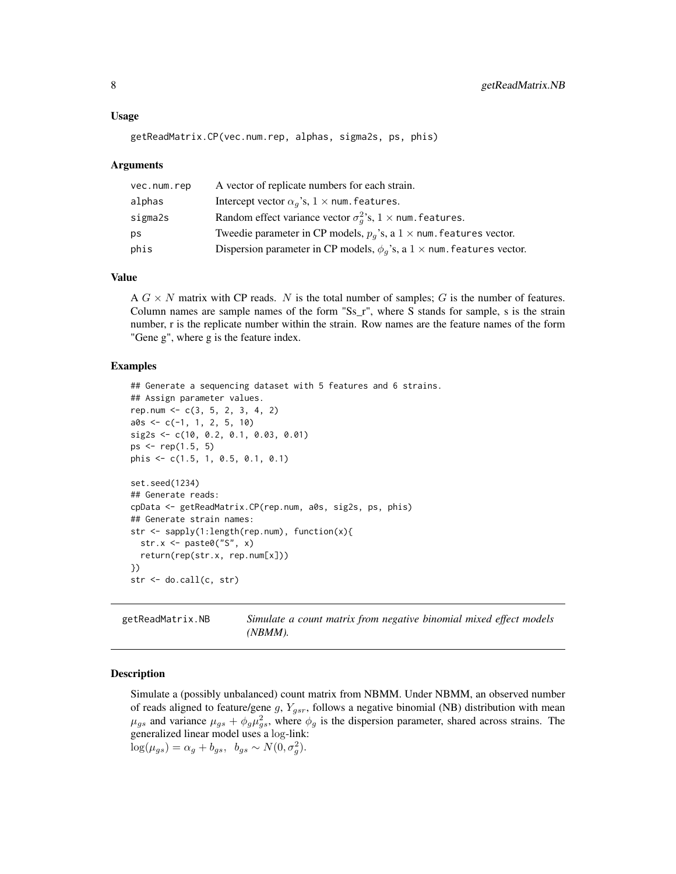## <span id="page-7-0"></span>Usage

```
getReadMatrix.CP(vec.num.rep, alphas, sigma2s, ps, phis)
```
#### Arguments

| vec.num.rep | A vector of replicate numbers for each strain.                                     |
|-------------|------------------------------------------------------------------------------------|
| alphas      | Intercept vector $\alpha_a$ 's, $1 \times$ num. features.                          |
| sigma2s     | Random effect variance vector $\sigma_a^2$ 's, $1 \times$ num. features.           |
| ps          | Tweedie parameter in CP models, $p_q$ 's, a $1 \times$ num. features vector.       |
| phis        | Dispersion parameter in CP models, $\phi_a$ 's, a $1 \times$ num. features vector. |

#### Value

A  $G \times N$  matrix with CP reads. N is the total number of samples; G is the number of features. Column names are sample names of the form "Ss\_r", where S stands for sample, s is the strain number, r is the replicate number within the strain. Row names are the feature names of the form "Gene g", where g is the feature index.

#### Examples

```
## Generate a sequencing dataset with 5 features and 6 strains.
## Assign parameter values.
rep.num \leq -c(3, 5, 2, 3, 4, 2)a0s \leq c(-1, 1, 2, 5, 10)sig2s <- c(10, 0.2, 0.1, 0.03, 0.01)
ps \leq rep(1.5, 5)phis <- c(1.5, 1, 0.5, 0.1, 0.1)
set.seed(1234)
## Generate reads:
cpData <- getReadMatrix.CP(rep.num, a0s, sig2s, ps, phis)
## Generate strain names:
str <- sapply(1:length(rep.num), function(x){
 str.x <- paste0("S", x)
 return(rep(str.x, rep.num[x]))
})
str <- do.call(c, str)
```
getReadMatrix.NB *Simulate a count matrix from negative binomial mixed effect models (NBMM).*

#### Description

Simulate a (possibly unbalanced) count matrix from NBMM. Under NBMM, an observed number of reads aligned to feature/gene g,  $Y_{gsr}$ , follows a negative binomial (NB) distribution with mean  $\mu_{gs}$  and variance  $\mu_{gs} + \phi_g \mu_{gs}^2$ , where  $\phi_g$  is the dispersion parameter, shared across strains. The generalized linear model uses a log-link:  $log(\mu_{gs}) = \alpha_g + b_{gs}, \ \ b_{gs} \sim N(0, \sigma_g^2).$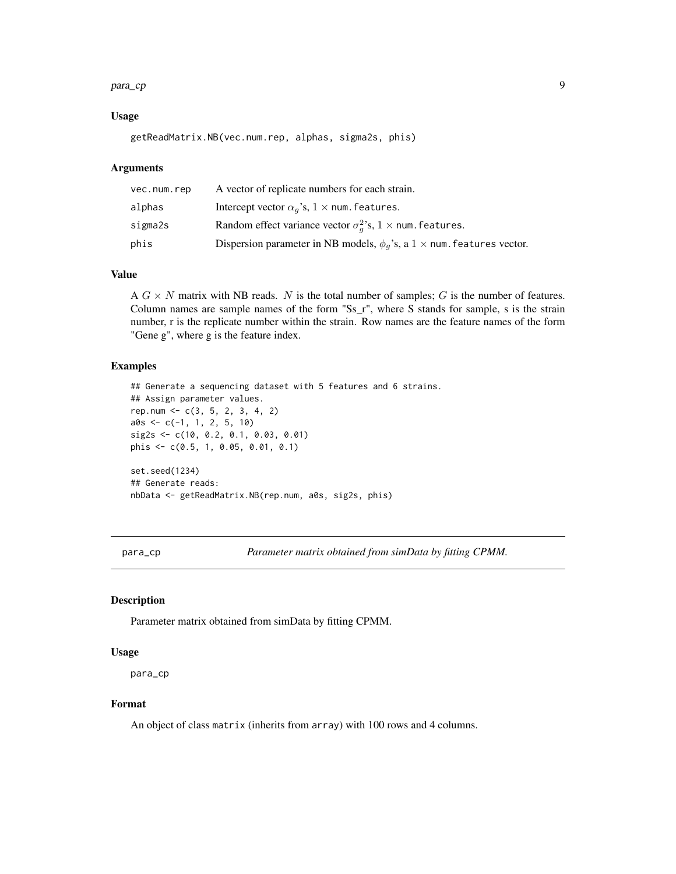#### <span id="page-8-0"></span>para\_cp 9

#### Usage

```
getReadMatrix.NB(vec.num.rep, alphas, sigma2s, phis)
```
#### Arguments

| vec.num.rep | A vector of replicate numbers for each strain.                                     |
|-------------|------------------------------------------------------------------------------------|
| alphas      | Intercept vector $\alpha_a$ 's, $1 \times$ num. features.                          |
| sigma2s     | Random effect variance vector $\sigma_a^2$ 's, $1 \times$ num. features.           |
| phis        | Dispersion parameter in NB models, $\phi_q$ 's, a $1 \times$ num. features vector. |

## Value

A  $G \times N$  matrix with NB reads. N is the total number of samples; G is the number of features. Column names are sample names of the form "Ss\_r", where S stands for sample, s is the strain number, r is the replicate number within the strain. Row names are the feature names of the form "Gene g", where g is the feature index.

#### Examples

```
## Generate a sequencing dataset with 5 features and 6 strains.
## Assign parameter values.
rep.num <- c(3, 5, 2, 3, 4, 2)
a0s \leq c(-1, 1, 2, 5, 10)sig2s <- c(10, 0.2, 0.1, 0.03, 0.01)
phis <- c(0.5, 1, 0.05, 0.01, 0.1)
set.seed(1234)
## Generate reads:
nbData <- getReadMatrix.NB(rep.num, a0s, sig2s, phis)
```
para\_cp *Parameter matrix obtained from simData by fitting CPMM.*

## Description

Parameter matrix obtained from simData by fitting CPMM.

#### Usage

para\_cp

## Format

An object of class matrix (inherits from array) with 100 rows and 4 columns.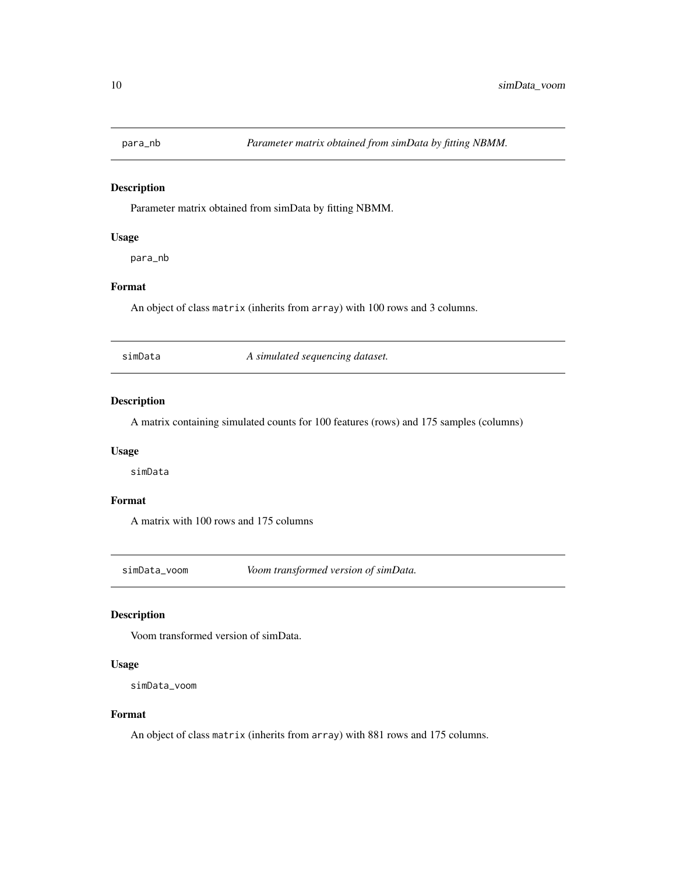<span id="page-9-0"></span>

Parameter matrix obtained from simData by fitting NBMM.

## Usage

para\_nb

## Format

An object of class matrix (inherits from array) with 100 rows and 3 columns.

simData *A simulated sequencing dataset.*

## Description

A matrix containing simulated counts for 100 features (rows) and 175 samples (columns)

## Usage

simData

## Format

A matrix with 100 rows and 175 columns

simData\_voom *Voom transformed version of simData.*

#### Description

Voom transformed version of simData.

#### Usage

simData\_voom

#### Format

An object of class matrix (inherits from array) with 881 rows and 175 columns.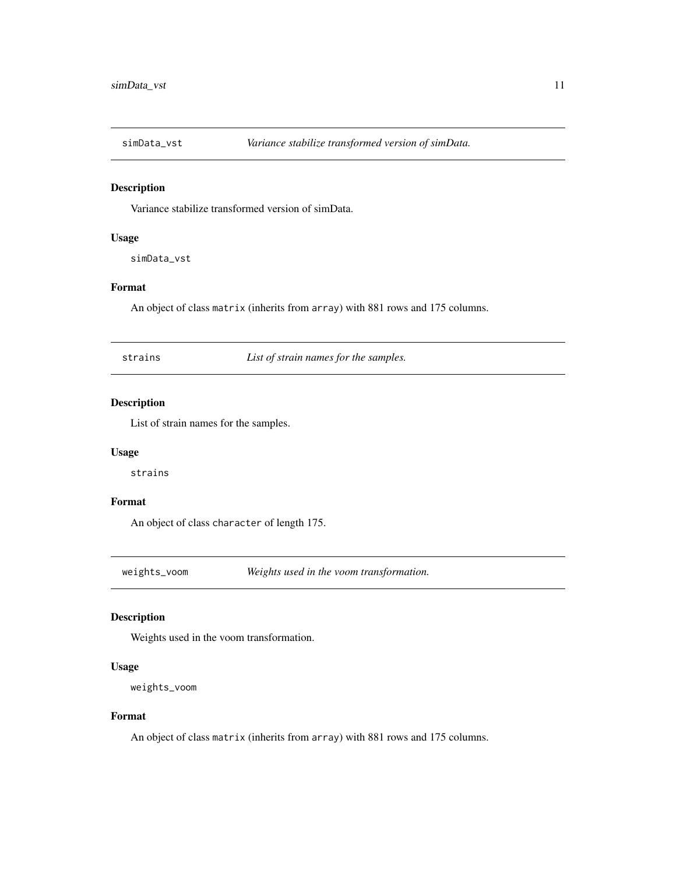<span id="page-10-0"></span>

Variance stabilize transformed version of simData.

#### Usage

simData\_vst

## Format

An object of class matrix (inherits from array) with 881 rows and 175 columns.

strains *List of strain names for the samples.*

## Description

List of strain names for the samples.

#### Usage

strains

## Format

An object of class character of length 175.

weights\_voom *Weights used in the voom transformation.*

#### Description

Weights used in the voom transformation.

## Usage

```
weights_voom
```
## Format

An object of class matrix (inherits from array) with 881 rows and 175 columns.